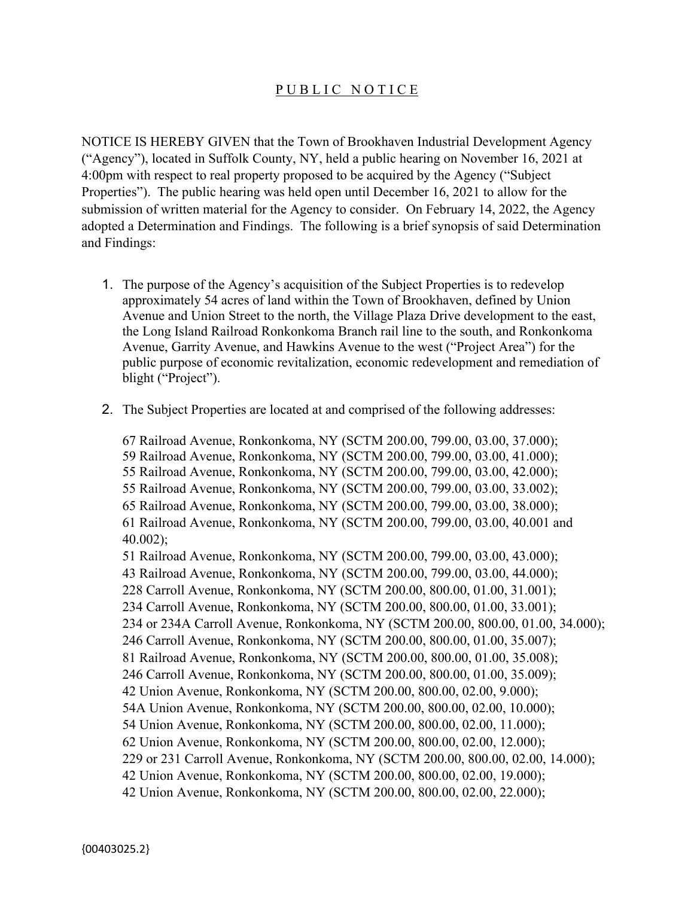## PUBLIC NOTICE

NOTICE IS HEREBY GIVEN that the Town of Brookhaven Industrial Development Agency ("Agency"), located in Suffolk County, NY, held a public hearing on November 16, 2021 at 4:00pm with respect to real property proposed to be acquired by the Agency ("Subject Properties"). The public hearing was held open until December 16, 2021 to allow for the submission of written material for the Agency to consider. On February 14, 2022, the Agency adopted a Determination and Findings. The following is a brief synopsis of said Determination and Findings:

- 1. The purpose of the Agency's acquisition of the Subject Properties is to redevelop approximately 54 acres of land within the Town of Brookhaven, defined by Union Avenue and Union Street to the north, the Village Plaza Drive development to the east, the Long Island Railroad Ronkonkoma Branch rail line to the south, and Ronkonkoma Avenue, Garrity Avenue, and Hawkins Avenue to the west ("Project Area") for the public purpose of economic revitalization, economic redevelopment and remediation of blight ("Project").
- 2. The Subject Properties are located at and comprised of the following addresses:

67 Railroad Avenue, Ronkonkoma, NY (SCTM 200.00, 799.00, 03.00, 37.000); 59 Railroad Avenue, Ronkonkoma, NY (SCTM 200.00, 799.00, 03.00, 41.000); 55 Railroad Avenue, Ronkonkoma, NY (SCTM 200.00, 799.00, 03.00, 42.000); 55 Railroad Avenue, Ronkonkoma, NY (SCTM 200.00, 799.00, 03.00, 33.002); 65 Railroad Avenue, Ronkonkoma, NY (SCTM 200.00, 799.00, 03.00, 38.000); 61 Railroad Avenue, Ronkonkoma, NY (SCTM 200.00, 799.00, 03.00, 40.001 and 40.002); 51 Railroad Avenue, Ronkonkoma, NY (SCTM 200.00, 799.00, 03.00, 43.000); 43 Railroad Avenue, Ronkonkoma, NY (SCTM 200.00, 799.00, 03.00, 44.000); 228 Carroll Avenue, Ronkonkoma, NY (SCTM 200.00, 800.00, 01.00, 31.001); 234 Carroll Avenue, Ronkonkoma, NY (SCTM 200.00, 800.00, 01.00, 33.001); 234 or 234A Carroll Avenue, Ronkonkoma, NY (SCTM 200.00, 800.00, 01.00, 34.000); 246 Carroll Avenue, Ronkonkoma, NY (SCTM 200.00, 800.00, 01.00, 35.007); 81 Railroad Avenue, Ronkonkoma, NY (SCTM 200.00, 800.00, 01.00, 35.008); 246 Carroll Avenue, Ronkonkoma, NY (SCTM 200.00, 800.00, 01.00, 35.009); 42 Union Avenue, Ronkonkoma, NY (SCTM 200.00, 800.00, 02.00, 9.000); 54A Union Avenue, Ronkonkoma, NY (SCTM 200.00, 800.00, 02.00, 10.000); 54 Union Avenue, Ronkonkoma, NY (SCTM 200.00, 800.00, 02.00, 11.000); 62 Union Avenue, Ronkonkoma, NY (SCTM 200.00, 800.00, 02.00, 12.000); 229 or 231 Carroll Avenue, Ronkonkoma, NY (SCTM 200.00, 800.00, 02.00, 14.000); 42 Union Avenue, Ronkonkoma, NY (SCTM 200.00, 800.00, 02.00, 19.000); 42 Union Avenue, Ronkonkoma, NY (SCTM 200.00, 800.00, 02.00, 22.000);